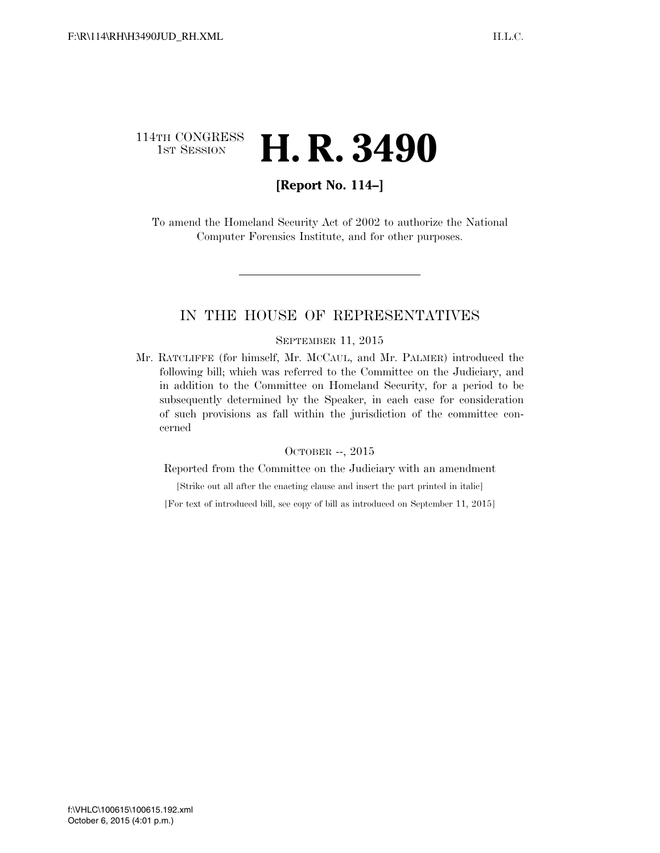# 114TH CONGRESS 1st Session **H. R. 3490**

## **[Report No. 114–]**

To amend the Homeland Security Act of 2002 to authorize the National Computer Forensics Institute, and for other purposes.

### IN THE HOUSE OF REPRESENTATIVES

#### SEPTEMBER 11, 2015

Mr. RATCLIFFE (for himself, Mr. MCCAUL, and Mr. PALMER) introduced the following bill; which was referred to the Committee on the Judiciary, and in addition to the Committee on Homeland Security, for a period to be subsequently determined by the Speaker, in each case for consideration of such provisions as fall within the jurisdiction of the committee concerned

#### OCTOBER --, 2015

Reported from the Committee on the Judiciary with an amendment

[Strike out all after the enacting clause and insert the part printed in italic]

[For text of introduced bill, see copy of bill as introduced on September 11, 2015]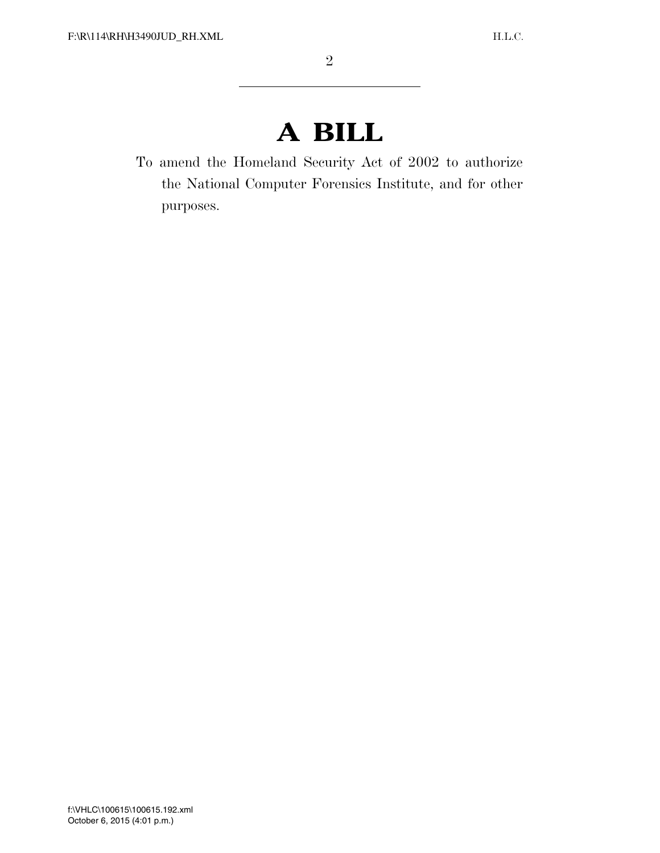# **A BILL**

To amend the Homeland Security Act of 2002 to authorize the National Computer Forensics Institute, and for other purposes.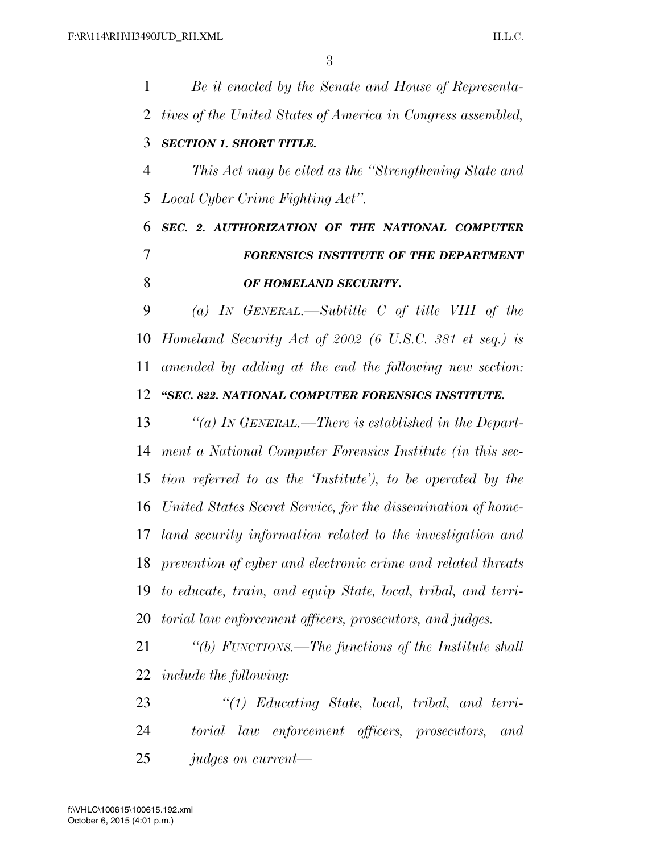*Be it enacted by the Senate and House of Representa- tives of the United States of America in Congress assembled, SECTION 1. SHORT TITLE. This Act may be cited as the ''Strengthening State and Local Cyber Crime Fighting Act''. SEC. 2. AUTHORIZATION OF THE NATIONAL COMPUTER FORENSICS INSTITUTE OF THE DEPARTMENT OF HOMELAND SECURITY. (a) IN GENERAL.—Subtitle C of title VIII of the Homeland Security Act of 2002 (6 U.S.C. 381 et seq.) is amended by adding at the end the following new section: ''SEC. 822. NATIONAL COMPUTER FORENSICS INSTITUTE. ''(a) IN GENERAL.—There is established in the Depart- ment a National Computer Forensics Institute (in this sec- tion referred to as the 'Institute'), to be operated by the United States Secret Service, for the dissemination of home- land security information related to the investigation and prevention of cyber and electronic crime and related threats to educate, train, and equip State, local, tribal, and terri- torial law enforcement officers, prosecutors, and judges. ''(b) FUNCTIONS.—The functions of the Institute shall include the following: ''(1) Educating State, local, tribal, and terri- torial law enforcement officers, prosecutors, and judges on current—*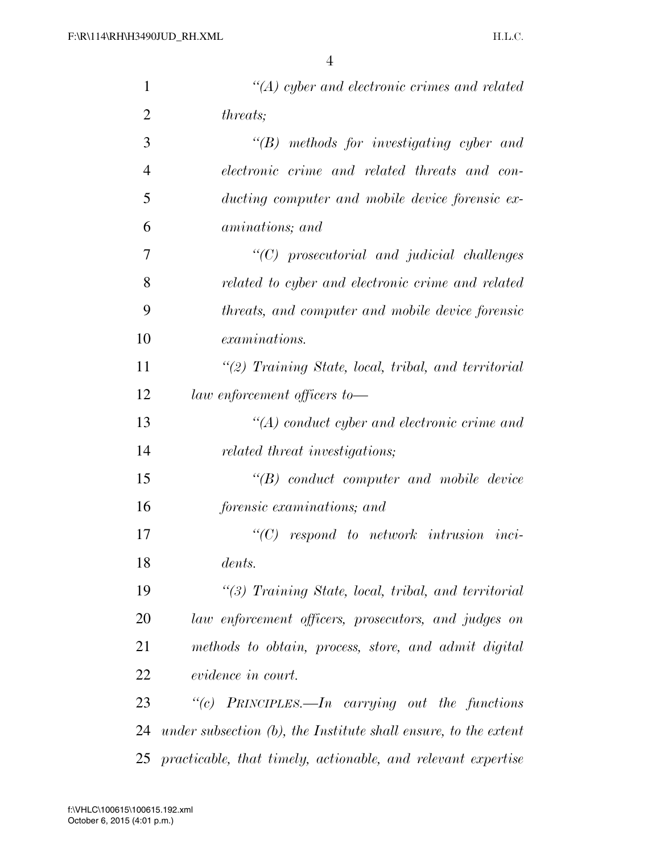| $\mathbf{1}$   | $\lq (A)$ cyber and electronic crimes and related                  |
|----------------|--------------------------------------------------------------------|
| $\overline{2}$ | <i>threats</i> ;                                                   |
| 3              | $\lq\lq(B)$ methods for investigating cyber and                    |
| $\overline{4}$ | electronic crime and related threats and con-                      |
| 5              | ducting computer and mobile device forensic ex-                    |
| 6              | aminations; and                                                    |
| 7              | $"$ (C) prosecutorial and judicial challenges                      |
| 8              | related to cyber and electronic crime and related                  |
| 9              | threats, and computer and mobile device forensic                   |
| 10             | <i>examinations.</i>                                               |
| 11             | $\lq(2)$ Training State, local, tribal, and territorial            |
| 12             | law enforcement officers to-                                       |
| 13             | $\lq (A)$ conduct cyber and electronic crime and                   |
| 14             | related threat investigations;                                     |
| 15             | $\lq\lq B$ conduct computer and mobile device                      |
| 16             | forensic examinations; and                                         |
| 17             | $\lq\lq C$ respond to network intrusion inci-                      |
| 18             | dents.                                                             |
| 19             | $\lq(3)$ Training State, local, tribal, and territorial            |
| 20             | law enforcement officers, prosecutors, and judges on               |
| 21             | methods to obtain, process, store, and admit digital               |
| 22             | <i>evidence in court.</i>                                          |
| 23             | "(c) PRINCIPLES.—In carrying out the functions                     |
| 24             | under subsection $(b)$ , the Institute shall ensure, to the extent |
| 25             | practicable, that timely, actionable, and relevant expertise       |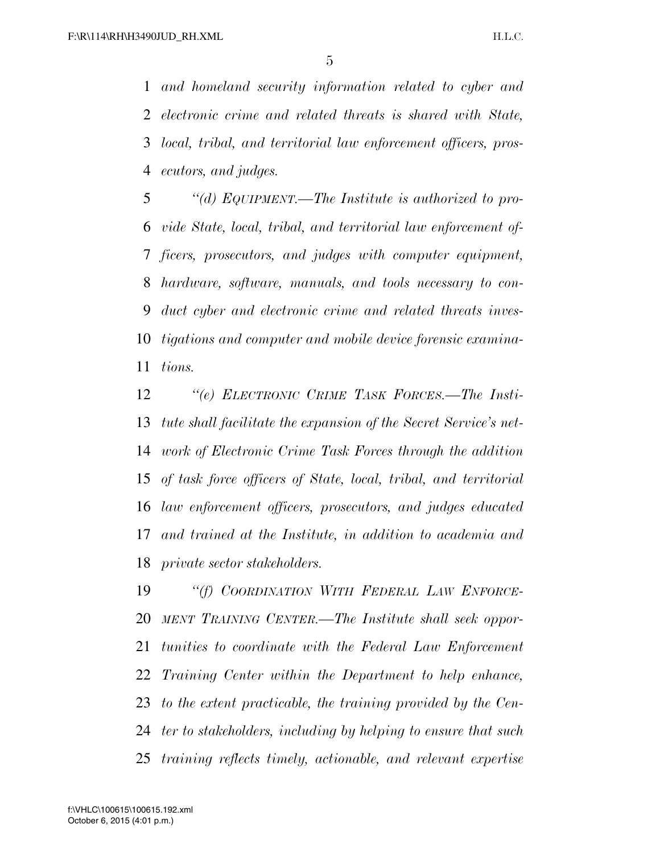*and homeland security information related to cyber and electronic crime and related threats is shared with State, local, tribal, and territorial law enforcement officers, pros-ecutors, and judges.* 

 *''(d) EQUIPMENT.—The Institute is authorized to pro- vide State, local, tribal, and territorial law enforcement of- ficers, prosecutors, and judges with computer equipment, hardware, software, manuals, and tools necessary to con- duct cyber and electronic crime and related threats inves- tigations and computer and mobile device forensic examina-tions.* 

 *''(e) ELECTRONIC CRIME TASK FORCES.—The Insti- tute shall facilitate the expansion of the Secret Service's net- work of Electronic Crime Task Forces through the addition of task force officers of State, local, tribal, and territorial law enforcement officers, prosecutors, and judges educated and trained at the Institute, in addition to academia and private sector stakeholders.* 

 *''(f) COORDINATION WITH FEDERAL LAW ENFORCE- MENT TRAINING CENTER.—The Institute shall seek oppor- tunities to coordinate with the Federal Law Enforcement Training Center within the Department to help enhance, to the extent practicable, the training provided by the Cen- ter to stakeholders, including by helping to ensure that such training reflects timely, actionable, and relevant expertise*